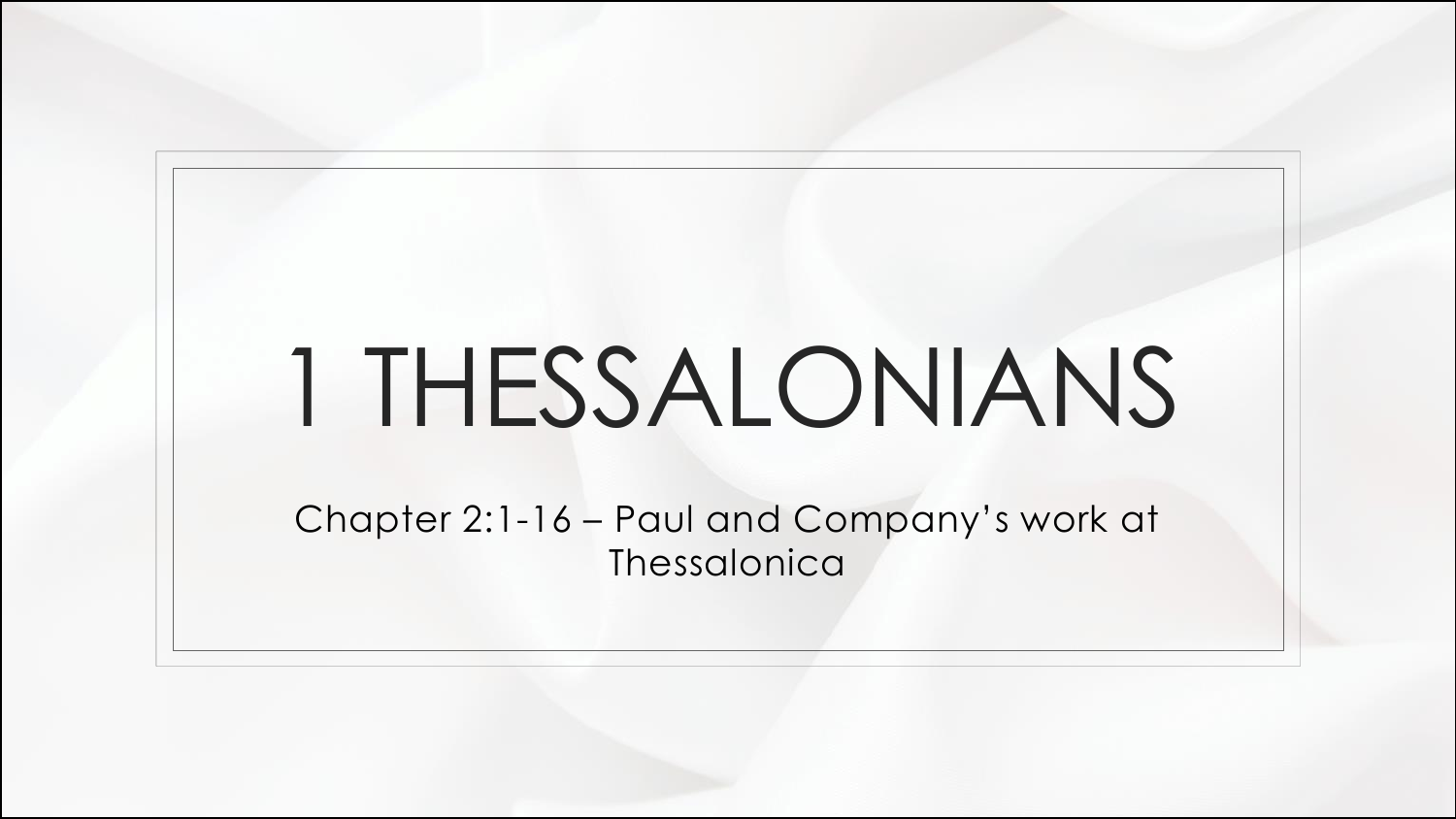## 1 THESSALONIANS

Chapter 2:1-16 – Paul and Company's work at Thessalonica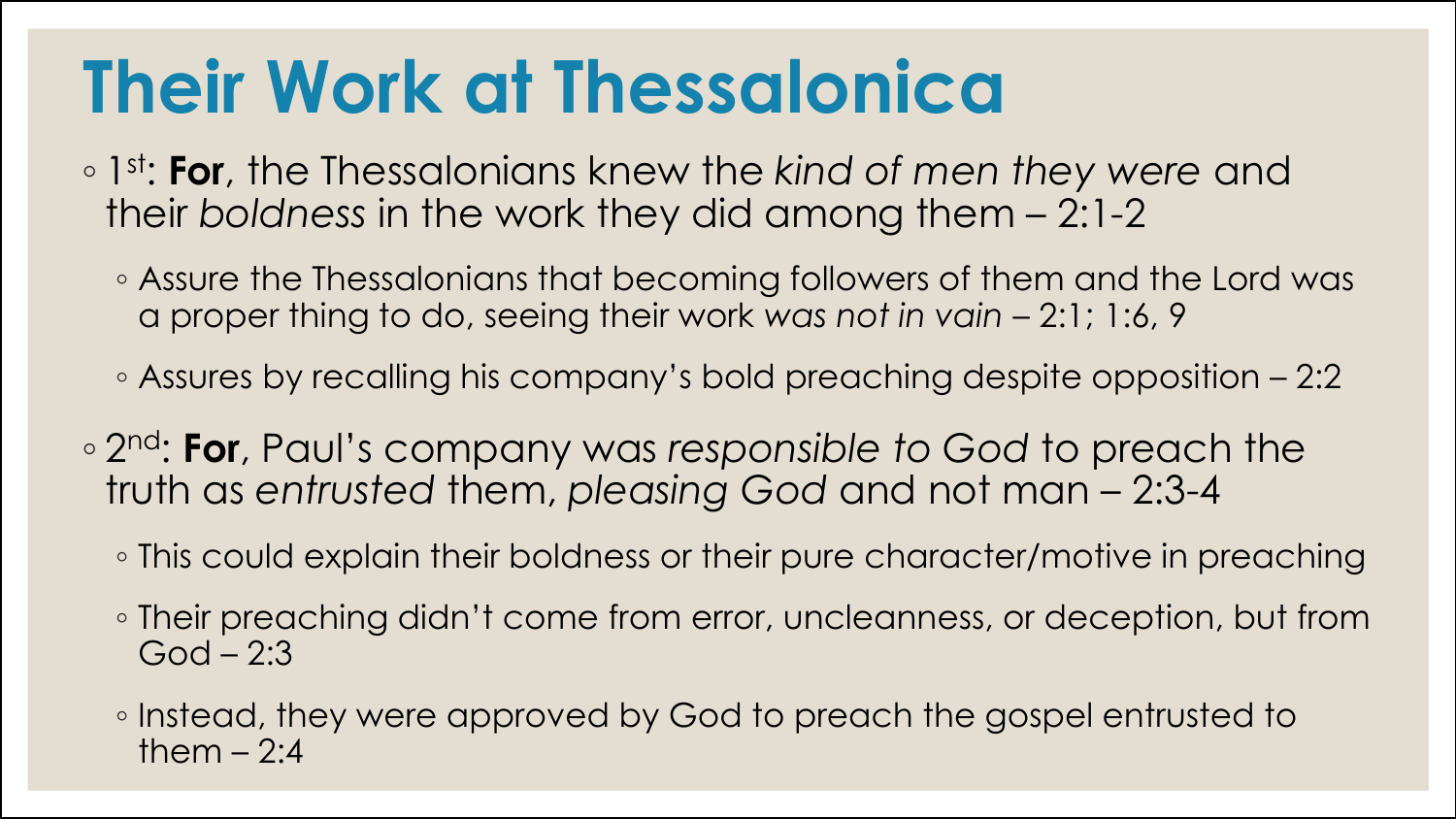## **Their Work at Thessalonica**

- 1 st: **For**, the Thessalonians knew the *kind of men they were* and their *boldness* in the work they did among them – 2:1-2
	- Assure the Thessalonians that becoming followers of them and the Lord was a proper thing to do, seeing their work *was not in vain* – 2:1; 1:6, 9
	- Assures by recalling his company's bold preaching despite opposition 2:2
- 2 nd: **For**, Paul's company was *responsible to God* to preach the truth as *entrusted* them, *pleasing God* and not man – 2:3-4
	- This could explain their boldness or their pure character/motive in preaching
	- Their preaching didn't come from error, uncleanness, or deception, but from  $God - 2:3$
	- Instead, they were approved by God to preach the gospel entrusted to them  $-2:4$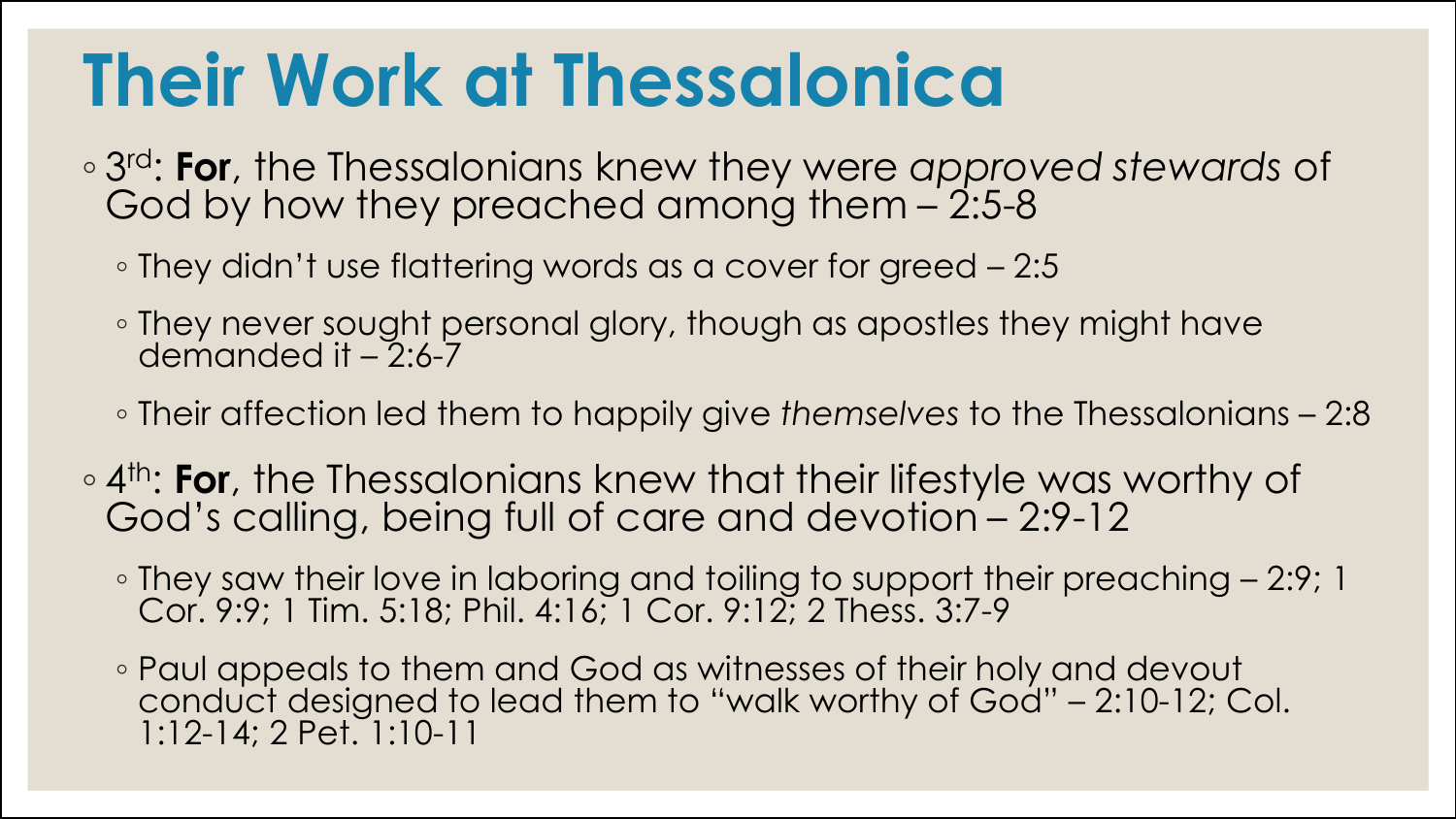## **Their Work at Thessalonica**

- 3 rd: **For**, the Thessalonians knew they were *approved stewards* of God by how they preached among them – 2:5-8
	- They didn't use flattering words as a cover for greed 2:5
	- They never sought personal glory, though as apostles they might have demanded it – 2:6-7
	- Their affection led them to happily give *themselves* to the Thessalonians 2:8
- 4<sup>th</sup>: **For**, the Thessalonians knew that their lifestyle was worthy of God's calling, being full of care and devotion - 2:9-12
	- They saw their love in laboring and toiling to support their preaching 2:9; 1 Cor. 9:9; 1 Tim. 5:18; Phil. 4:16; 1 Cor. 9:12; 2 Thess. 3:7-9
	- Paul appeals to them and God as witnesses of their holy and devout conduct designed to lead them to "walk worthy of God" – 2:10-12; Col. 1:12-14; 2 Pet. 1:10-11